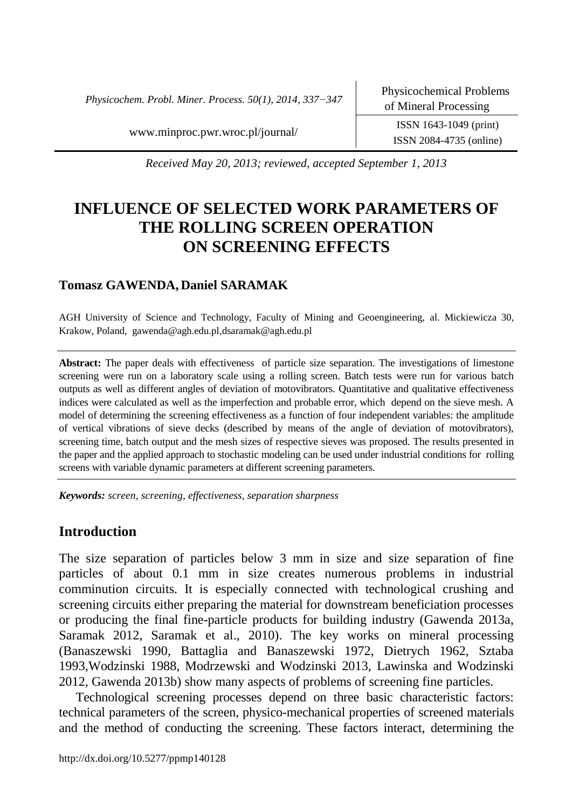*Physicochem. Probl. Miner. Process. 50(1), 2014, 337−347*

ISSN 2084-4735 (online)

[www.minproc.pwr.wroc.pl/journal/](http://www.minproc.pwr.wroc.pl/journal/) ISSN 1643-1049 (print)

*Received May 20, 2013; reviewed, accepted September 1, 2013*

# **INFLUENCE OF SELECTED WORK PARAMETERS OF THE ROLLING SCREEN OPERATION ON SCREENING EFFECTS**

# **Tomasz GAWENDA, Daniel SARAMAK**

AGH University of Science and Technology, Faculty of Mining and Geoengineering, al. Mickiewicza 30, Krakow, Poland, gawenda@agh.edu.pl,dsaramak@agh.edu.pl

**Abstract:** The paper deals with effectiveness of particle size separation. The investigations of limestone screening were run on a laboratory scale using a rolling screen. Batch tests were run for various batch outputs as well as different angles of deviation of motovibrators. Quantitative and qualitative effectiveness indices were calculated as well as the imperfection and probable error, which depend on the sieve mesh. A model of determining the screening effectiveness as a function of four independent variables: the amplitude of vertical vibrations of sieve decks (described by means of the angle of deviation of motovibrators), screening time, batch output and the mesh sizes of respective sieves was proposed. The results presented in the paper and the applied approach to stochastic modeling can be used under industrial conditions for rolling screens with variable dynamic parameters at different screening parameters.

*Keywords: screen, screening, effectiveness, separation sharpness*

## **Introduction**

The size separation of particles below 3 mm in size and size separation of fine particles of about 0.1 mm in size creates numerous problems in industrial comminution circuits. It is especially connected with technological crushing and screening circuits either preparing the material for downstream beneficiation processes or producing the final fine-particle products for building industry (Gawenda 2013a, Saramak 2012, Saramak et al., 2010). The key works on mineral processing (Banaszewski 1990, Battaglia and Banaszewski 1972, Dietrych 1962, Sztaba 1993,Wodzinski 1988, Modrzewski and Wodzinski 2013, Lawinska and Wodzinski 2012, Gawenda 2013b) show many aspects of problems of screening fine particles.

Technological screening processes depend on three basic characteristic factors: technical parameters of the screen, physico-mechanical properties of screened materials and the method of conducting the screening. These factors interact, determining the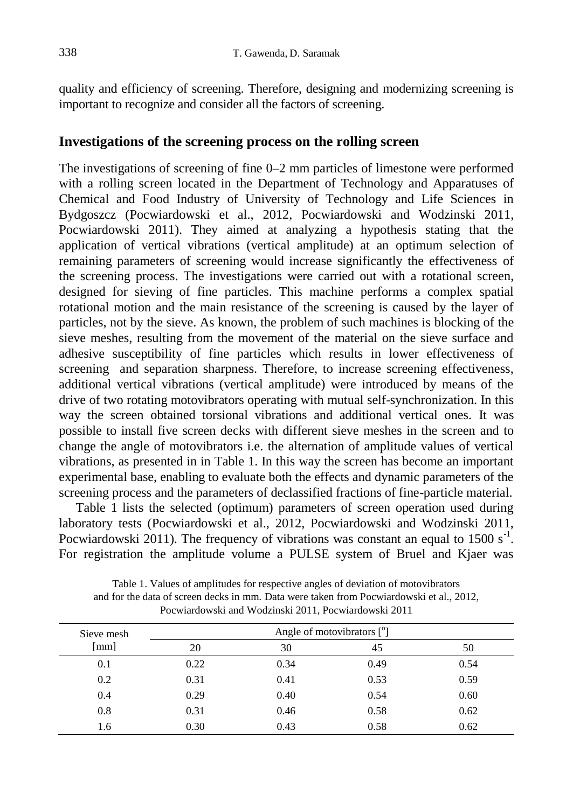quality and efficiency of screening. Therefore, designing and modernizing screening is important to recognize and consider all the factors of screening.

# **Investigations of the screening process on the rolling screen**

The investigations of screening of fine 0–2 mm particles of limestone were performed with a rolling screen located in the Department of Technology and Apparatuses of Chemical and Food Industry of University of Technology and Life Sciences in Bydgoszcz (Pocwiardowski et al., 2012, Pocwiardowski and Wodzinski 2011, Pocwiardowski 2011). They aimed at analyzing a hypothesis stating that the application of vertical vibrations (vertical amplitude) at an optimum selection of remaining parameters of screening would increase significantly the effectiveness of the screening process. The investigations were carried out with a rotational screen, designed for sieving of fine particles. This machine performs a complex spatial rotational motion and the main resistance of the screening is caused by the layer of particles, not by the sieve. As known, the problem of such machines is blocking of the sieve meshes, resulting from the movement of the material on the sieve surface and adhesive susceptibility of fine particles which results in lower effectiveness of screening and separation sharpness. Therefore, to increase screening effectiveness, additional vertical vibrations (vertical amplitude) were introduced by means of the drive of two rotating motovibrators operating with mutual self-synchronization. In this way the screen obtained torsional vibrations and additional vertical ones. It was possible to install five screen decks with different sieve meshes in the screen and to change the angle of motovibrators i.e. the alternation of amplitude values of vertical vibrations, as presented in in Table 1. In this way the screen has become an important experimental base, enabling to evaluate both the effects and dynamic parameters of the screening process and the parameters of declassified fractions of fine-particle material.

Table 1 lists the selected (optimum) parameters of screen operation used during laboratory tests (Pocwiardowski et al., 2012, Pocwiardowski and Wodzinski 2011, Pocwiardowski 2011). The frequency of vibrations was constant an equal to  $1500 s^{-1}$ . For registration the amplitude volume a PULSE system of Bruel and Kjaer was

| Sieve mesh |      | Angle of motovibrators $[°]$ |      |      |
|------------|------|------------------------------|------|------|
| [mm]       | 20   | 30                           | 45   | 50   |
| 0.1        | 0.22 | 0.34                         | 0.49 | 0.54 |
| 0.2        | 0.31 | 0.41                         | 0.53 | 0.59 |
| 0.4        | 0.29 | 0.40                         | 0.54 | 0.60 |
| 0.8        | 0.31 | 0.46                         | 0.58 | 0.62 |
| 1.6        | 0.30 | 0.43                         | 0.58 | 0.62 |

Table 1. Values of amplitudes for respective angles of deviation of motovibrators and for the data of screen decks in mm. Data were taken from Pocwiardowski et al., 2012, Pocwiardowski and Wodzinski 2011, Pocwiardowski 2011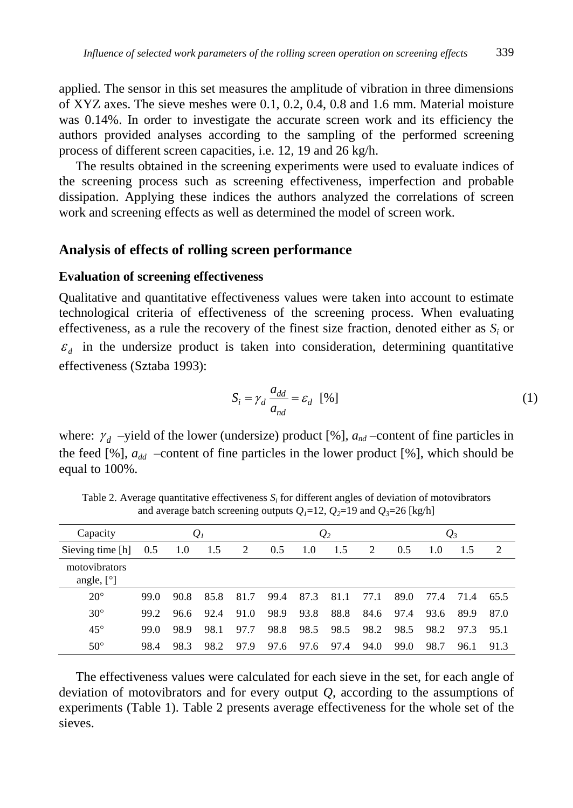applied. The sensor in this set measures the amplitude of vibration in three dimensions of XYZ axes. The sieve meshes were 0.1, 0.2, 0.4, 0.8 and 1.6 mm. Material moisture was 0.14%. In order to investigate the accurate screen work and its efficiency the authors provided analyses according to the sampling of the performed screening process of different screen capacities, i.e. 12, 19 and 26 kg/h.

The results obtained in the screening experiments were used to evaluate indices of the screening process such as screening effectiveness, imperfection and probable dissipation. Applying these indices the authors analyzed the correlations of screen work and screening effects as well as determined the model of screen work.

### **Analysis of effects of rolling screen performance**

#### **Evaluation of screening effectiveness**

Qualitative and quantitative effectiveness values were taken into account to estimate technological criteria of effectiveness of the screening process. When evaluating effectiveness, as a rule the recovery of the finest size fraction, denoted either as  $S_i$  or  $\epsilon_d$  in the undersize product is taken into consideration, determining quantitative effectiveness (Sztaba 1993):

$$
S_i = \gamma_d \frac{a_{dd}}{a_{nd}} = \varepsilon_d \quad [%]
$$
 (1)

where:  $\gamma_d$  -yield of the lower (undersize) product [%],  $a_{nd}$  -content of fine particles in the feed [%],  $a_{dd}$  –content of fine particles in the lower product [%], which should be equal to 100%.

| Capacity                                      |      |      | $\mathcal{Q}_I$ |      |      |      | $\mathcal{Q}_2$ |      |      |      | $\mathcal{Q}_3$ |      |
|-----------------------------------------------|------|------|-----------------|------|------|------|-----------------|------|------|------|-----------------|------|
| Sieving time [h]                              | 0.5  | 1.0  | 1.5             | 2    | 0.5  | 1.0  | 1.5             | 2    | 0.5  | 1.0  | 1.5             | 2    |
| motovibrators<br>angle, $\lceil \circ \rceil$ |      |      |                 |      |      |      |                 |      |      |      |                 |      |
| $20^{\circ}$                                  | 99.0 | 90.8 | 85.8            | 81.7 | 99.4 | 87.3 | 81.1            | 77.1 | 89.0 | 77.4 | 71.4            | 65.5 |
| $30^\circ$                                    | 99.2 | 96.6 | 92.4            | 91.0 | 98.9 | 93.8 | 88.8            | 84.6 | 97.4 | 93.6 | 89.9            | 87.0 |
| $45^{\circ}$                                  | 99.0 | 98.9 | 98.1            | 97.7 | 98.8 | 98.5 | 98.5            | 98.2 | 98.5 | 98.2 | 97.3            | 95.1 |
| $50^{\circ}$                                  | 98.4 | 98.3 | 98.2            | 97.9 | 97.6 | 97.6 | 97.4            | 94.0 | 99.0 | 98.7 | 96.1            | 91.3 |

Table 2. Average quantitative effectiveness  $S_i$  for different angles of deviation of motovibrators and average batch screening outputs  $Q_1=12$ ,  $Q_2=19$  and  $Q_3=26$  [kg/h]

The effectiveness values were calculated for each sieve in the set, for each angle of deviation of motovibrators and for every output  $Q$ , according to the assumptions of experiments (Table 1). Table 2 presents average effectiveness for the whole set of the sieves.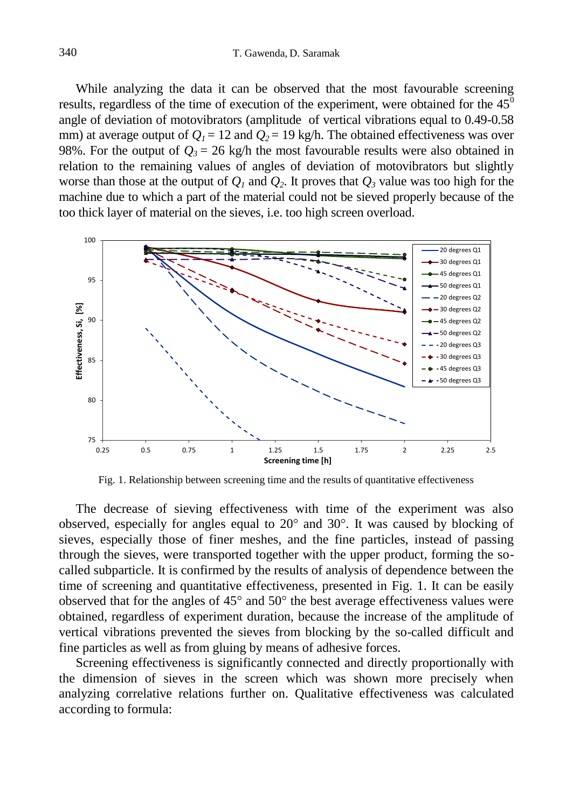While analyzing the data it can be observed that the most favourable screening results, regardless of the time of execution of the experiment, were obtained for the  $45^{\circ}$ angle of deviation of motovibrators (amplitude of vertical vibrations equal to 0.49-0.58 mm) at average output of  $Q_1 = 12$  and  $Q_2 = 19$  kg/h. The obtained effectiveness was over 98%. For the output of  $Q_3 = 26$  kg/h the most favourable results were also obtained in relation to the remaining values of angles of deviation of motovibrators but slightly worse than those at the output of  $Q$ <sup>*1*</sup> and  $Q$ <sup>2</sup>. It proves that  $Q$ <sup>3</sup> value was too high for the machine due to which a part of the material could not be sieved properly because of the too thick layer of material on the sieves, i.e. too high screen overload.



Fig. 1. Relationship between screening time and the results of quantitative effectiveness

The decrease of sieving effectiveness with time of the experiment was also observed, especially for angles equal to 20° and 30°. It was caused by blocking of sieves, especially those of finer meshes, and the fine particles, instead of passing through the sieves, were transported together with the upper product, forming the socalled subparticle. It is confirmed by the results of analysis of dependence between the time of screening and quantitative effectiveness, presented in Fig. 1. It can be easily observed that for the angles of 45° and 50° the best average effectiveness values were obtained, regardless of experiment duration, because the increase of the amplitude of vertical vibrations prevented the sieves from blocking by the so-called difficult and fine particles as well as from gluing by means of adhesive forces.

Screening effectiveness is significantly connected and directly proportionally with the dimension of sieves in the screen which was shown more precisely when analyzing correlative relations further on. Qualitative effectiveness was calculated according to formula: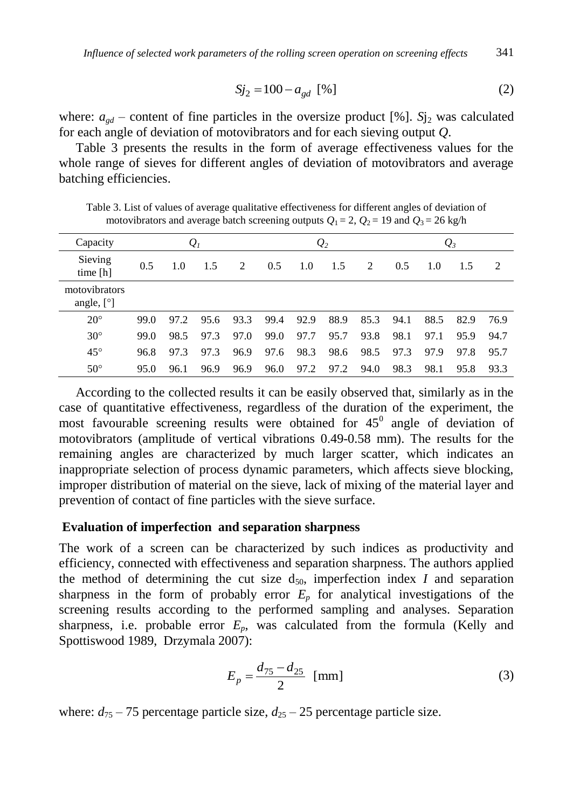$$
Sj_2 = 100 - a_{gd} \, [%]
$$
 (2)

where:  $a_{gd}$  – content of fine particles in the oversize product [%]. *S*j<sub>2</sub> was calculated for each angle of deviation of motovibrators and for each sieving output *Q*.

Table 3 presents the results in the form of average effectiveness values for the whole range of sieves for different angles of deviation of motovibrators and average batching efficiencies.

Table 3. List of values of average qualitative effectiveness for different angles of deviation of motovibrators and average batch screening outputs  $Q_1 = 2$ ,  $Q_2 = 19$  and  $Q_3 = 26$  kg/h

| Capacity                      |      |      | $\mathcal{Q}_I$ |      |      |      | $\mathcal{Q}_2$ |      |      |      | $\mathcal{Q}_3$ |      |
|-------------------------------|------|------|-----------------|------|------|------|-----------------|------|------|------|-----------------|------|
| Sieving<br>time $[h]$         | 0.5  | 1.0  | 1.5             | 2    | 0.5  | 1.0  | 1.5             | 2    | 0.5  | 1.0  | 1.5             | 2    |
| motovibrators<br>angle, $[°]$ |      |      |                 |      |      |      |                 |      |      |      |                 |      |
| $20^{\circ}$                  | 99.0 | 97.2 | 95.6            | 93.3 | 99.4 | 92.9 | 88.9            | 85.3 | 94.1 | 88.5 | 82.9            | 76.9 |
| $30^\circ$                    | 99.0 | 98.5 | 97.3            | 97.0 | 99.0 | 97.7 | 95.7            | 93.8 | 98.1 | 97.1 | 95.9            | 94.7 |
| $45^{\circ}$                  | 96.8 | 97.3 | 97.3            | 96.9 | 97.6 | 98.3 | 98.6            | 98.5 | 97.3 | 97.9 | 97.8            | 95.7 |
| $50^{\circ}$                  | 95.0 | 96.1 | 96.9            | 96.9 | 96.0 | 97.2 | 97.2            | 94.0 | 98.3 | 98.1 | 95.8            | 93.3 |

According to the collected results it can be easily observed that, similarly as in the case of quantitative effectiveness, regardless of the duration of the experiment, the most favourable screening results were obtained for  $45^\circ$  angle of deviation of motovibrators (amplitude of vertical vibrations 0.49-0.58 mm). The results for the remaining angles are characterized by much larger scatter, which indicates an inappropriate selection of process dynamic parameters, which affects sieve blocking, improper distribution of material on the sieve, lack of mixing of the material layer and prevention of contact of fine particles with the sieve surface.

#### **Evaluation of imperfection and separation sharpness**

The work of a screen can be characterized by such indices as productivity and efficiency, connected with effectiveness and separation sharpness. The authors applied the method of determining the cut size  $d_{50}$ , imperfection index *I* and separation sharpness in the form of probably error  $E_p$  for analytical investigations of the screening results according to the performed sampling and analyses. Separation sharpness, i.e. probable error  $E_p$ , was calculated from the formula (Kelly and Spottiswood 1989, Drzymala 2007):

$$
E_p = \frac{d_{75} - d_{25}}{2} \text{ [mm]}
$$
 (3)

where:  $d_{75}$  – 75 percentage particle size,  $d_{25}$  – 25 percentage particle size.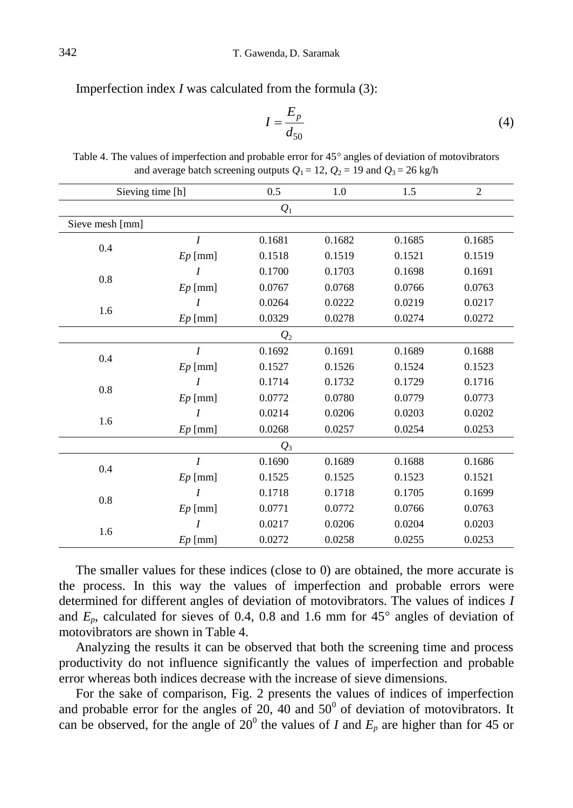Imperfection index *I* was calculated from the formula (3):

$$
I = \frac{E_p}{d_{50}}\tag{4}
$$

| Sieving time [h] |                  | 0.5             | 1.0    | 1.5    | $\overline{2}$ |  |  |  |
|------------------|------------------|-----------------|--------|--------|----------------|--|--|--|
| $Q_1$            |                  |                 |        |        |                |  |  |  |
| Sieve mesh [mm]  |                  |                 |        |        |                |  |  |  |
|                  | $\boldsymbol{I}$ | 0.1681          | 0.1682 | 0.1685 | 0.1685         |  |  |  |
| 0.4              | $Ep$ [mm]        | 0.1518          | 0.1519 | 0.1521 | 0.1519         |  |  |  |
|                  | $\boldsymbol{I}$ | 0.1700          | 0.1703 | 0.1698 | 0.1691         |  |  |  |
| $0.8\,$          | $Ep$ [mm]        | 0.0767          | 0.0768 | 0.0766 | 0.0763         |  |  |  |
|                  | $\boldsymbol{I}$ | 0.0264          | 0.0222 | 0.0219 | 0.0217         |  |  |  |
| 1.6              | $Ep$ [mm]        | 0.0329          | 0.0278 | 0.0274 | 0.0272         |  |  |  |
| $Q_2$            |                  |                 |        |        |                |  |  |  |
| 0.4              | $\overline{I}$   | 0.1692          | 0.1691 | 0.1689 | 0.1688         |  |  |  |
|                  | $Ep$ [mm]        | 0.1527          | 0.1526 | 0.1524 | 0.1523         |  |  |  |
| $0.8\,$          | $\boldsymbol{I}$ | 0.1714          | 0.1732 | 0.1729 | 0.1716         |  |  |  |
|                  | $Ep$ [mm]        | 0.0772          | 0.0780 | 0.0779 | 0.0773         |  |  |  |
|                  | $\boldsymbol{I}$ | 0.0214          | 0.0206 | 0.0203 | 0.0202         |  |  |  |
| 1.6              | $Ep$ [mm]        | 0.0268          | 0.0257 | 0.0254 | 0.0253         |  |  |  |
|                  |                  | $\mathcal{Q}_3$ |        |        |                |  |  |  |
| 0.4              | $\boldsymbol{I}$ | 0.1690          | 0.1689 | 0.1688 | 0.1686         |  |  |  |
|                  | $Ep$ [mm]        | 0.1525          | 0.1525 | 0.1523 | 0.1521         |  |  |  |
| 0.8              | $\boldsymbol{I}$ | 0.1718          | 0.1718 | 0.1705 | 0.1699         |  |  |  |
|                  | $Ep$ [mm]        | 0.0771          | 0.0772 | 0.0766 | 0.0763         |  |  |  |
|                  | $\overline{I}$   | 0.0217          | 0.0206 | 0.0204 | 0.0203         |  |  |  |
| 1.6              | $Ep$ [mm]        | 0.0272          | 0.0258 | 0.0255 | 0.0253         |  |  |  |

Table 4. The values of imperfection and probable error for 45° angles of deviation of motovibrators and average batch screening outputs  $Q_1 = 12$ ,  $Q_2 = 19$  and  $Q_3 = 26$  kg/h

The smaller values for these indices (close to 0) are obtained, the more accurate is the process. In this way the values of imperfection and probable errors were determined for different angles of deviation of motovibrators. The values of indices *I* and  $E_p$ , calculated for sieves of 0.4, 0.8 and 1.6 mm for  $45^\circ$  angles of deviation of motovibrators are shown in Table 4.

Analyzing the results it can be observed that both the screening time and process productivity do not influence significantly the values of imperfection and probable error whereas both indices decrease with the increase of sieve dimensions.

For the sake of comparison, Fig. 2 presents the values of indices of imperfection and probable error for the angles of  $20$ , 40 and  $50^{\circ}$  of deviation of motovibrators. It can be observed, for the angle of  $20^{\circ}$  the values of *I* and  $E_p$  are higher than for 45 or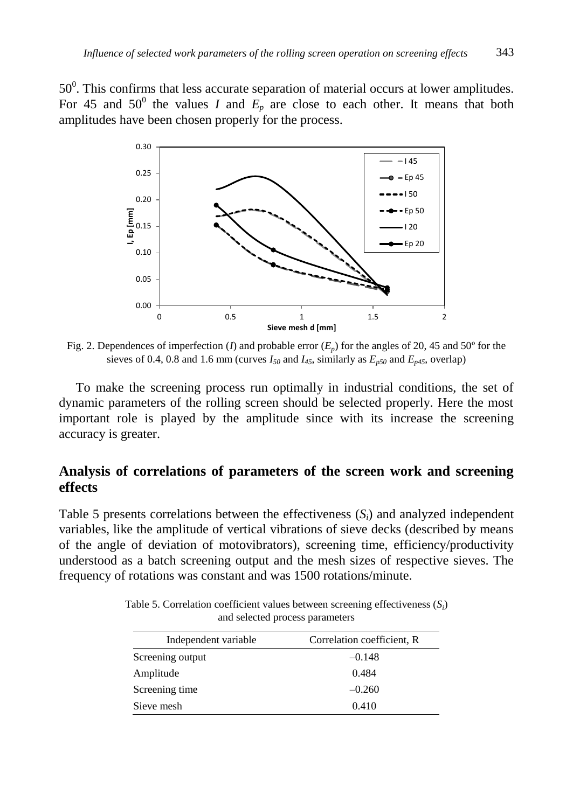$50<sup>0</sup>$ . This confirms that less accurate separation of material occurs at lower amplitudes. For 45 and  $50^{\circ}$  the values *I* and  $E_p$  are close to each other. It means that both amplitudes have been chosen properly for the process.



Fig. 2. Dependences of imperfection (*I*) and probable error  $(E_p)$  for the angles of 20, 45 and 50<sup>°</sup> for the sieves of 0.4, 0.8 and 1.6 mm (curves  $I_{50}$  and  $I_{45}$ , similarly as  $E_{p50}$  and  $E_{p45}$ , overlap)

To make the screening process run optimally in industrial conditions, the set of dynamic parameters of the rolling screen should be selected properly. Here the most important role is played by the amplitude since with its increase the screening accuracy is greater.

# **Analysis of correlations of parameters of the screen work and screening effects**

Table 5 presents correlations between the effectiveness  $(S_i)$  and analyzed independent variables, like the amplitude of vertical vibrations of sieve decks (described by means of the angle of deviation of motovibrators), screening time, efficiency/productivity understood as a batch screening output and the mesh sizes of respective sieves. The frequency of rotations was constant and was 1500 rotations/minute.

Table 5. Correlation coefficient values between screening effectiveness (*S<sup>i</sup>* ) and selected process parameters

| Independent variable | Correlation coefficient, R |
|----------------------|----------------------------|
| Screening output     | $-0.148$                   |
| Amplitude            | 0.484                      |
| Screening time       | $-0.260$                   |
| Sieve mesh           | 0.410                      |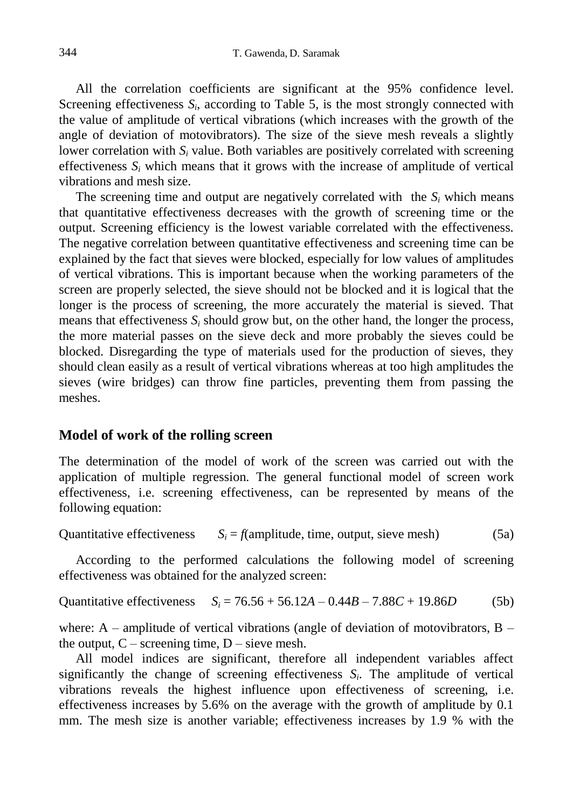All the correlation coefficients are significant at the 95% confidence level. Screening effectiveness  $S_i$ , according to Table 5, is the most strongly connected with the value of amplitude of vertical vibrations (which increases with the growth of the angle of deviation of motovibrators). The size of the sieve mesh reveals a slightly lower correlation with  $S_i$  value. Both variables are positively correlated with screening effectiveness  $S_i$  which means that it grows with the increase of amplitude of vertical vibrations and mesh size.

The screening time and output are negatively correlated with the  $S_i$  which means that quantitative effectiveness decreases with the growth of screening time or the output. Screening efficiency is the lowest variable correlated with the effectiveness. The negative correlation between quantitative effectiveness and screening time can be explained by the fact that sieves were blocked, especially for low values of amplitudes of vertical vibrations. This is important because when the working parameters of the screen are properly selected, the sieve should not be blocked and it is logical that the longer is the process of screening, the more accurately the material is sieved. That means that effectiveness  $S_i$  should grow but, on the other hand, the longer the process, the more material passes on the sieve deck and more probably the sieves could be blocked. Disregarding the type of materials used for the production of sieves, they should clean easily as a result of vertical vibrations whereas at too high amplitudes the sieves (wire bridges) can throw fine particles, preventing them from passing the meshes.

### **Model of work of the rolling screen**

The determination of the model of work of the screen was carried out with the application of multiple regression. The general functional model of screen work effectiveness, i.e. screening effectiveness, can be represented by means of the following equation:

Quantitative effectiveness  $S_i = f$ (amplitude, time, output, sieve mesh) (5a)

According to the performed calculations the following model of screening effectiveness was obtained for the analyzed screen:

Quantitative effectiveness  $S_i = 76.56 + 56.12A - 0.44B - 7.88C + 19.86D$  (5b)

where:  $A$  – amplitude of vertical vibrations (angle of deviation of motovibrators,  $B$  – the output,  $C$  – screening time,  $D$  – sieve mesh.

All model indices are significant, therefore all independent variables affect significantly the change of screening effectiveness  $S_i$ . The amplitude of vertical vibrations reveals the highest influence upon effectiveness of screening, i.e. effectiveness increases by 5.6% on the average with the growth of amplitude by 0.1 mm. The mesh size is another variable; effectiveness increases by 1.9 % with the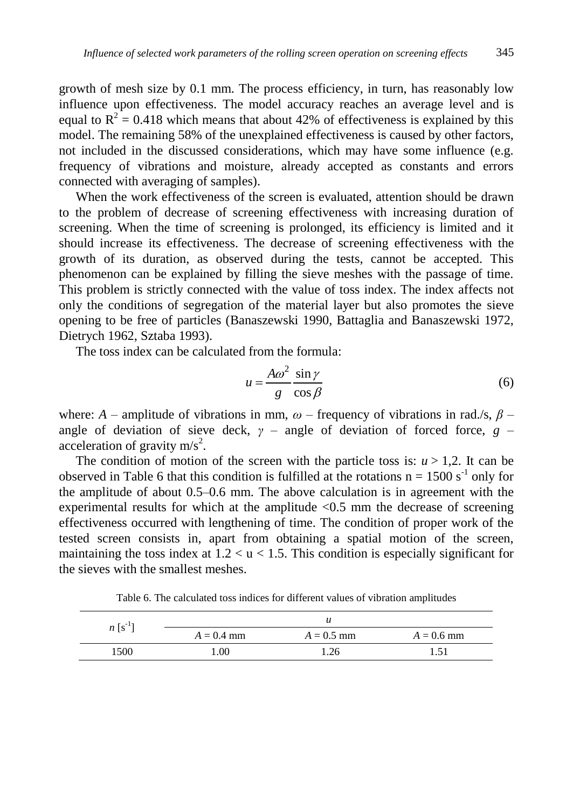growth of mesh size by 0.1 mm. The process efficiency, in turn, has reasonably low influence upon effectiveness. The model accuracy reaches an average level and is equal to  $R^2 = 0.418$  which means that about 42% of effectiveness is explained by this model. The remaining 58% of the unexplained effectiveness is caused by other factors, not included in the discussed considerations, which may have some influence (e.g. frequency of vibrations and moisture, already accepted as constants and errors connected with averaging of samples).

When the work effectiveness of the screen is evaluated, attention should be drawn to the problem of decrease of screening effectiveness with increasing duration of screening. When the time of screening is prolonged, its efficiency is limited and it should increase its effectiveness. The decrease of screening effectiveness with the growth of its duration, as observed during the tests, cannot be accepted. This phenomenon can be explained by filling the sieve meshes with the passage of time. This problem is strictly connected with the value of toss index. The index affects not only the conditions of segregation of the material layer but also promotes the sieve opening to be free of particles (Banaszewski 1990, Battaglia and Banaszewski 1972, Dietrych 1962, Sztaba 1993).

The toss index can be calculated from the formula:

$$
u = \frac{A\omega^2}{g} \frac{\sin \gamma}{\cos \beta} \tag{6}
$$

where: *A* – amplitude of vibrations in mm,  $\omega$  – frequency of vibrations in rad./s,  $\beta$  – angle of deviation of sieve deck,  $\gamma$  – angle of deviation of forced force,  $g$  – acceleration of gravity  $m/s^2$ .

The condition of motion of the screen with the particle toss is:  $u > 1,2$ . It can be observed in Table 6 that this condition is fulfilled at the rotations  $n = 1500 s<sup>-1</sup>$  only for the amplitude of about 0.5–0.6 mm. The above calculation is in agreement with the experimental results for which at the amplitude <0.5 mm the decrease of screening effectiveness occurred with lengthening of time. The condition of proper work of the tested screen consists in, apart from obtaining a spatial motion of the screen, maintaining the toss index at  $1.2 < u < 1.5$ . This condition is especially significant for the sieves with the smallest meshes.

Table 6. The calculated toss indices for different values of vibration amplitudes

| $n \lfloor s^{-1} \rfloor$ |              |              |              |
|----------------------------|--------------|--------------|--------------|
|                            | $A = 0.4$ mm | $A = 0.5$ mm | $A = 0.6$ mm |
| 1500                       | 0.00         | .26          | 151          |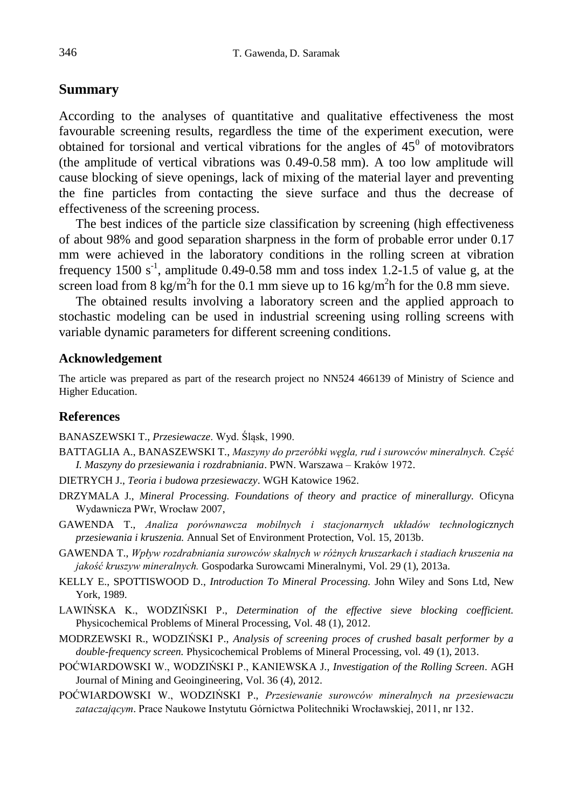### **Summary**

According to the analyses of quantitative and qualitative effectiveness the most favourable screening results, regardless the time of the experiment execution, were obtained for torsional and vertical vibrations for the angles of  $45^{\circ}$  of motovibrators (the amplitude of vertical vibrations was 0.49-0.58 mm). A too low amplitude will cause blocking of sieve openings, lack of mixing of the material layer and preventing the fine particles from contacting the sieve surface and thus the decrease of effectiveness of the screening process.

The best indices of the particle size classification by screening (high effectiveness of about 98% and good separation sharpness in the form of probable error under 0.17 mm were achieved in the laboratory conditions in the rolling screen at vibration frequency 1500  $s<sup>-1</sup>$ , amplitude 0.49-0.58 mm and toss index 1.2-1.5 of value g, at the screen load from 8 kg/m<sup>2</sup>h for the 0.1 mm sieve up to 16 kg/m<sup>2</sup>h for the 0.8 mm sieve.

The obtained results involving a laboratory screen and the applied approach to stochastic modeling can be used in industrial screening using rolling screens with variable dynamic parameters for different screening conditions.

#### **Acknowledgement**

The article was prepared as part of the research project no NN524 466139 of Ministry of Science and Higher Education.

#### **References**

BANASZEWSKI T., *Przesiewacze*. Wyd. Śląsk, 1990.

- BATTAGLIA A., BANASZEWSKI T., *Maszyny do przeróbki węgla, rud i surowców mineralnych. Część I. Maszyny do przesiewania i rozdrabniania*. PWN. Warszawa – Kraków 1972.
- DIETRYCH J., *Teoria i budowa przesiewaczy*. WGH Katowice 1962.
- DRZYMALA J., *Mineral Processing. Foundations of theory and practice of minerallurgy.* Oficyna Wydawnicza PWr, Wrocław 2007,
- GAWENDA T., *Analiza porównawcza mobilnych i stacjonarnych układów technologicznych przesiewania i kruszenia.* Annual Set of Environment Protection, Vol. 15, 2013b.
- GAWENDA T., *Wpływ rozdrabniania surowców skalnych w różnych kruszarkach i stadiach kruszenia na jakość kruszyw mineralnych.* Gospodarka Surowcami Mineralnymi, Vol. 29 (1), 2013a.
- KELLY E., SPOTTISWOOD D., *Introduction To Mineral Processing.* John Wiley and Sons Ltd, New York, 1989.
- LAWIŃSKA K., WODZIŃSKI P., *Determination of the effective sieve blocking coefficient.* Physicochemical Problems of Mineral Processing, Vol. 48 (1), 2012.
- MODRZEWSKI R., WODZIŃSKI P., *Analysis of screening proces of crushed basalt performer by a double-frequency screen.* Physicochemical Problems of Mineral Processing, vol. 49 (1), 2013.
- POĆWIARDOWSKI W., WODZIŃSKI P., KANIEWSKA J., *Investigation of the Rolling Screen*. AGH Journal of Mining and Geoingineering, Vol. 36 (4), 2012.
- POĆWIARDOWSKI W., WODZIŃSKI P., *Przesiewanie surowców mineralnych na przesiewaczu zataczającym*. Prace Naukowe Instytutu Górnictwa Politechniki Wrocławskiej, 2011, nr 132.